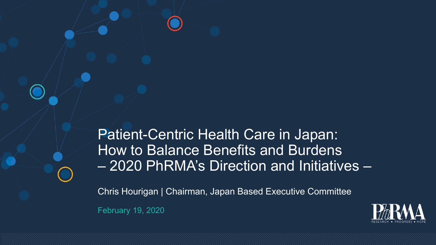Patient-Centric Health Care in Japan: How to Balance Benefits and Burdens – 2020 PhRMA's Direction and Initiatives –

February 19, 2020 Chris Hourigan | Chairman, Japan Based Executive Committee

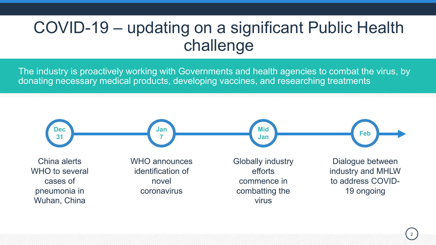# COVID-19 – updating on a significant Public Health challenge

The industry is proactively working with Governments and health agencies to combat the virus, by donating necessary medical products, developing vaccines, and researching treatments

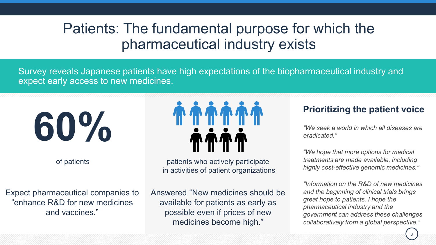## Patients: The fundamental purpose for which the pharmaceutical industry exists

Survey reveals Japanese patients have high expectations of the biopharmaceutical industry and expect early access to new medicines.

**60%**

of patients

Expect pharmaceutical companies to "enhance R&D for new medicines and vaccines."



patients who actively participate in activities of patient organizations

Answered "New medicines should be available for patients as early as possible even if prices of new medicines become high."

### **Prioritizing the patient voice**

*"We seek a world in which all diseases are eradicated."*

*"We hope that more options for medical treatments are made available, including highly cost-effective genomic medicines."*

*"Information on the R&D of new medicines and the beginning of clinical trials brings great hope to patients. I hope the pharmaceutical industry and the government can address these challenges collaboratively from a global perspective."*

3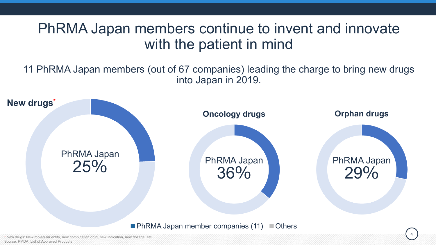### PhRMA Japan members continue to invent and innovate with the patient in mind

11 PhRMA Japan members (out of 67 companies) leading the charge to bring new drugs into Japan in 2019.



new combination drug, new indication, new dosage etc. Source: PMDA List of Approved Products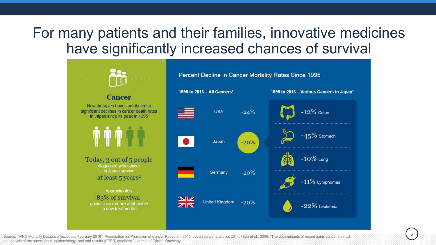## For many patients and their families, innovative medicines have significantly increased chances of survival



Source: <sup>1</sup>WHO Mortality Database (accessed February 2016); <sup>2</sup>Foundation for Promotion of Cancer Research, 2015, Japan cancer statistics 2014; <sup>3</sup>Sun et al., 2008, "The determinants of recent gains cancer survival: an analysis of the surveillance, epidemiology, and end results (SEER) database," Journal of Clinical Oncology.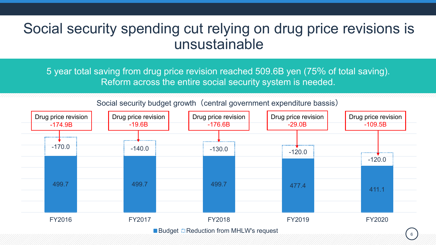### Social security spending cut relying on drug price revisions is unsustainable

5 year total saving from drug price revision reached 509.6B yen (75% of total saving). Reform across the entire social security system is needed.

499.7 499.7 499.7 477.4 411.1 -170.0 -140.0 -140.0 -130.0 -130.0 -120.0 -120.0 FY2016 FY2017 FY2018 FY2019 FY2020 ■ Budget **Reduction from MHLW's request** Drug price revision -174.9B Drug price revision -19.6B Drug price revision -176.6B Drug price revision -29.0B Drug price revision -109.5B

Social security budget growth (central government expenditure bassis)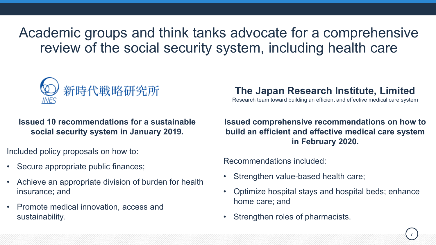Academic groups and think tanks advocate for a comprehensive review of the social security system, including health care



**Issued 10 recommendations for a sustainable social security system in January 2019.**

Included policy proposals on how to:

- Secure appropriate public finances;
- Achieve an appropriate division of burden for health insurance; and
- Promote medical innovation, access and sustainability.

### **The Japan Research Institute, Limited**

Research team toward building an efficient and effective medical care system

#### **Issued comprehensive recommendations on how to build an efficient and effective medical care system in February 2020.**

Recommendations included:

- Strengthen value-based health care;
- Optimize hospital stays and hospital beds; enhance home care; and
- Strengthen roles of pharmacists.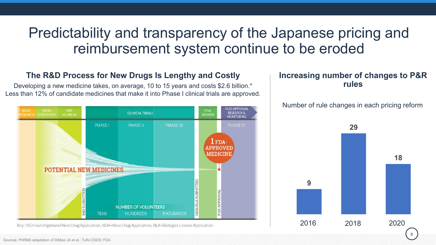### Predictability and transparency of the Japanese pricing and reimbursement system continue to be eroded

#### **The R&D Process for New Drugs Is Lengthy and Costly**

Developing a new medicine takes, on average, 10 to 15 years and costs \$2.6 billion.\* Less than 12% of candidate medicines that make it into Phase I clinical trials are approved.



Key: IND=Investigational New Drug Application, NDA=New Drug Application, BLA=Biologics License Application

#### **Increasing number of changes to P&R rules**

#### Number of rule changes in each pricing reform

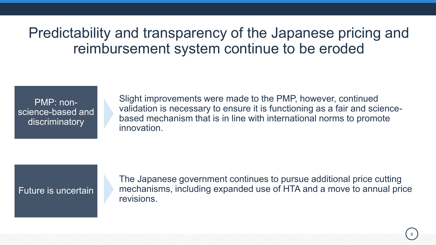Predictability and transparency of the Japanese pricing and reimbursement system continue to be eroded

PMP: nonscience-based and discriminatory

Slight improvements were made to the PMP, however, continued validation is necessary to ensure it is functioning as a fair and sciencebased mechanism that is in line with international norms to promote innovation.

#### Future is uncertain

The Japanese government continues to pursue additional price cutting mechanisms, including expanded use of HTA and a move to annual price revisions.